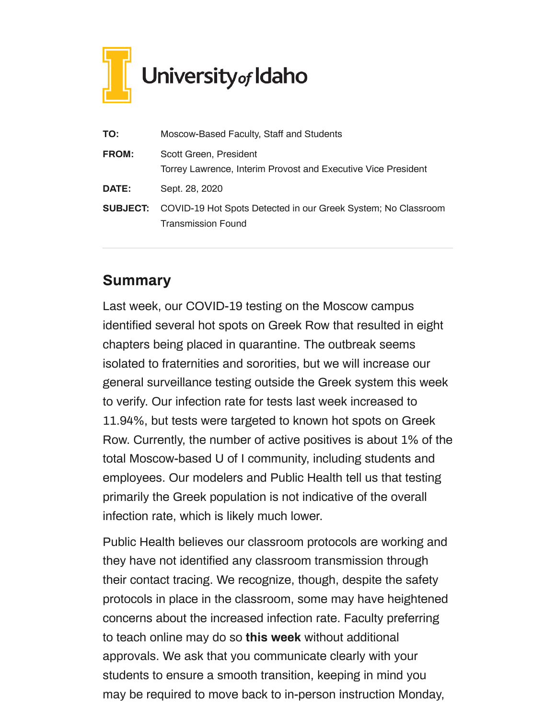

| TO:             | Moscow-Based Faculty, Staff and Students                                                   |
|-----------------|--------------------------------------------------------------------------------------------|
| <b>FROM:</b>    | Scott Green, President<br>Torrey Lawrence, Interim Provost and Executive Vice President    |
| <b>DATE:</b>    | Sept. 28, 2020                                                                             |
| <b>SUBJECT:</b> | COVID-19 Hot Spots Detected in our Greek System; No Classroom<br><b>Transmission Found</b> |

## **Summary**

Last week, our COVID-19 testing on the Moscow campus identified several hot spots on Greek Row that resulted in eight chapters being placed in quarantine. The outbreak seems isolated to fraternities and sororities, but we will increase our general surveillance testing outside the Greek system this week to verify. Our infection rate for tests last week increased to 11.94%, but tests were targeted to known hot spots on Greek Row. Currently, the number of active positives is about 1% of the total Moscow-based U of I community, including students and employees. Our modelers and Public Health tell us that testing primarily the Greek population is not indicative of the overall infection rate, which is likely much lower.

Public Health believes our classroom protocols are working and they have not identified any classroom transmission through their contact tracing. We recognize, though, despite the safety protocols in place in the classroom, some may have heightened concerns about the increased infection rate. Faculty preferring to teach online may do so **this week** without additional approvals. We ask that you communicate clearly with your students to ensure a smooth transition, keeping in mind you may be required to move back to in-person instruction Monday,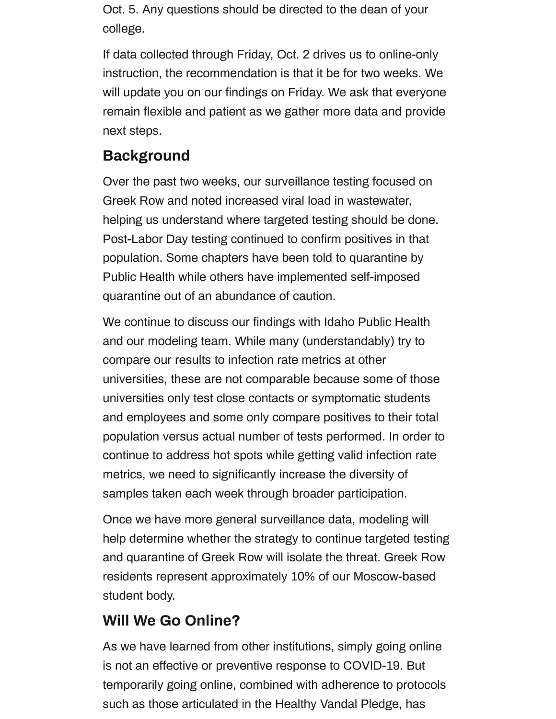Oct. 5. Any questions should be directed to the dean of your college.

If data collected through Friday, Oct. 2 drives us to online-only instruction, the recommendation is that it be for two weeks. We will update you on our findings on Friday. We ask that everyone remain flexible and patient as we gather more data and provide next steps.

## **Background**

Over the past two weeks, our surveillance testing focused on Greek Row and noted increased viral load in wastewater, helping us understand where targeted testing should be done. Post-Labor Day testing continued to confirm positives in that population. Some chapters have been told to quarantine by Public Health while others have implemented self-imposed quarantine out of an abundance of caution.

We continue to discuss our findings with Idaho Public Health and our modeling team. While many (understandably) try to compare our results to infection rate metrics at other universities, these are not comparable because some of those universities only test close contacts or symptomatic students and employees and some only compare positives to their total population versus actual number of tests performed. In order to continue to address hot spots while getting valid infection rate metrics, we need to significantly increase the diversity of samples taken each week through broader participation.

Once we have more general surveillance data, modeling will help determine whether the strategy to continue targeted testing and quarantine of Greek Row will isolate the threat. Greek Row residents represent approximately 10% of our Moscow-based student body.

## **Will We Go Online?**

As we have learned from other institutions, simply going online is not an effective or preventive response to COVID-19. But temporarily going online, combined with adherence to protocols such as those articulated in the Healthy Vandal Pledge, has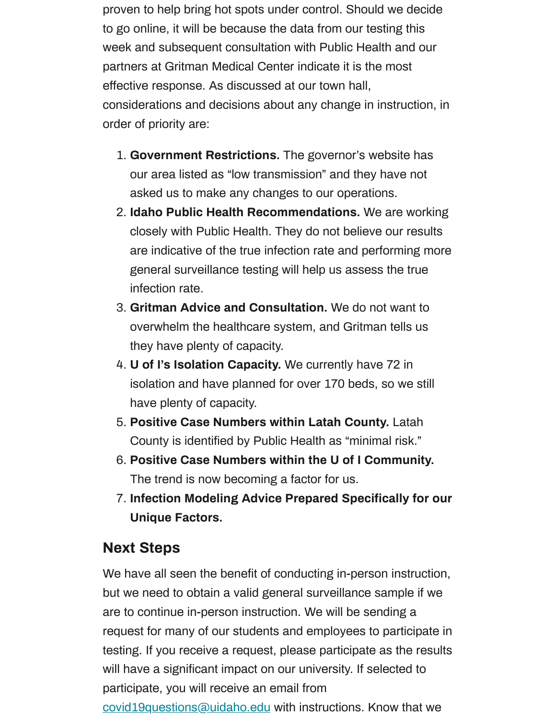proven to help bring hot spots under control. Should we decide to go online, it will be because the data from our testing this week and subsequent consultation with Public Health and our partners at Gritman Medical Center indicate it is the most effective response. As discussed at our town hall, considerations and decisions about any change in instruction, in order of priority are:

- 1. **Government Restrictions.** The governor's website has our area listed as "low transmission" and they have not asked us to make any changes to our operations.
- 2. **Idaho Public Health Recommendations.** We are working closely with Public Health. They do not believe our results are indicative of the true infection rate and performing more general surveillance testing will help us assess the true infection rate.
- 3. **Gritman Advice and Consultation.** We do not want to overwhelm the healthcare system, and Gritman tells us they have plenty of capacity.
- 4. **U of I's Isolation Capacity.** We currently have 72 in isolation and have planned for over 170 beds, so we still have plenty of capacity.
- 5. **Positive Case Numbers within Latah County.** Latah County is identified by Public Health as "minimal risk."
- 6. **Positive Case Numbers within the U of I Community.** The trend is now becoming a factor for us.
- 7. **Infection Modeling Advice Prepared Specifically for our Unique Factors.**

## **Next Steps**

We have all seen the benefit of conducting in-person instruction, but we need to obtain a valid general surveillance sample if we are to continue in-person instruction. We will be sending a request for many of our students and employees to participate in testing. If you receive a request, please participate as the results will have a significant impact on our university. If selected to participate, you will receive an email from [covid19questions@uidaho.edu](mailto:covid19questions@uidaho.edu) with instructions. Know that we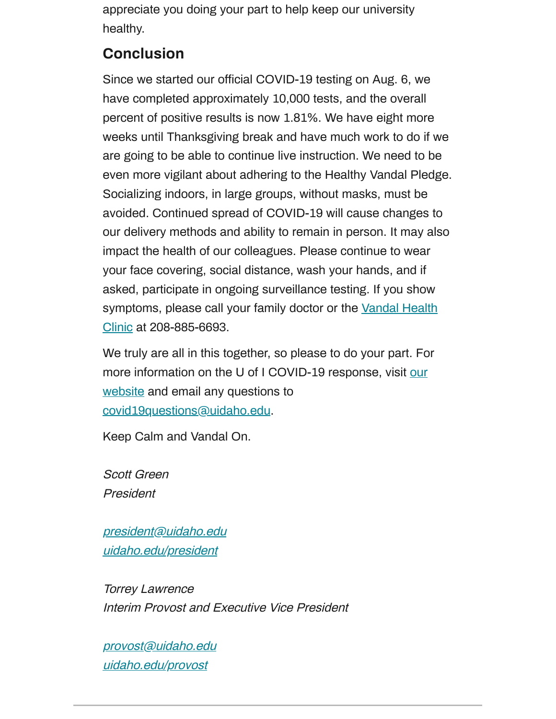appreciate you doing your part to help keep our university healthy.

# **Conclusion**

Since we started our official COVID-19 testing on Aug. 6, we have completed approximately 10,000 tests, and the overall percent of positive results is now 1.81%. We have eight more weeks until Thanksgiving break and have much work to do if we are going to be able to continue live instruction. We need to be even more vigilant about adhering to the Healthy Vandal Pledge. Socializing indoors, in large groups, without masks, must be avoided. Continued spread of COVID-19 will cause changes to our delivery methods and ability to remain in person. It may also impact the health of our colleagues. Please continue to wear your face covering, social distance, wash your hands, and if asked, participate in ongoing surveillance testing. If you show symptoms, please call your family doctor or the Vandal Health Clinic at [208-885-6693.](https://www.uidaho.edu/vandal-health-clinic)

We truly are all in this together, so please to do your part. For more information on the U of I COVID-19 response, visit our website and email [any questions to](http://www.uidaho.edu/coronavirus) [covid19questions@uidaho.edu](mailto:covid19questions@uidaho.edu).

Keep Calm and Vandal On.

Scott Green President

[president@uidaho.edu](mailto:president@uidaho.edu) [uidaho.edu/president](https://www.uidaho.edu/president)

Torrey Lawrence Interim Provost and Executive Vice President

[provost@uidaho.edu](mailto:provost@uidaho.edu) [uidaho.edu/provost](http://www.uidaho.edu/provost)